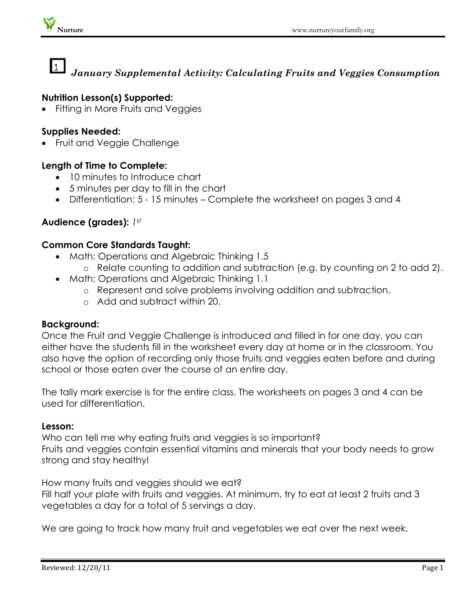# $\mathbf{1}$ *January Supplemental Activity: Calculating Fruits and Veggies Consumption*

### **Nutrition Lesson(s) Supported:**

Fitting in More Fruits and Veggies

#### **Supplies Needed:**

• Fruit and Veggie Challenge

### **Length of Time to Complete:**

- 10 minutes to Introduce chart
- 5 minutes per day to fill in the chart
- Differentiation: 5 15 minutes Complete the worksheet on pages 3 and 4

## **Audience (grades):** *1st*

#### **Common Core Standards Taught:**

- Math: Operations and Algebraic Thinking 1.5
	- o Relate counting to addition and subtraction (e.g. by counting on 2 to add 2).
- Math: Operations and Algebraic Thinking 1.1
	- o Represent and solve problems involving addition and subtraction.
	- o Add and subtract within 20.

#### **Background:**

Once the Fruit and Veggie Challenge is introduced and filled in for one day, you can either have the students fill in the worksheet every day at home or in the classroom. You also have the option of recording only those fruits and veggies eaten before and during school or those eaten over the course of an entire day.

The tally mark exercise is for the entire class. The worksheets on pages 3 and 4 can be used for differentiation.

#### **Lesson:**

Who can tell me why eating fruits and veggies is so important? Fruits and veggies contain essential vitamins and minerals that your body needs to grow strong and stay healthy!

How many fruits and veggies should we eat? Fill half your plate with fruits and veggies. At minimum, try to eat at least 2 fruits and 3 vegetables a day for a total of 5 servings a day.

We are going to track how many fruit and vegetables we eat over the next week.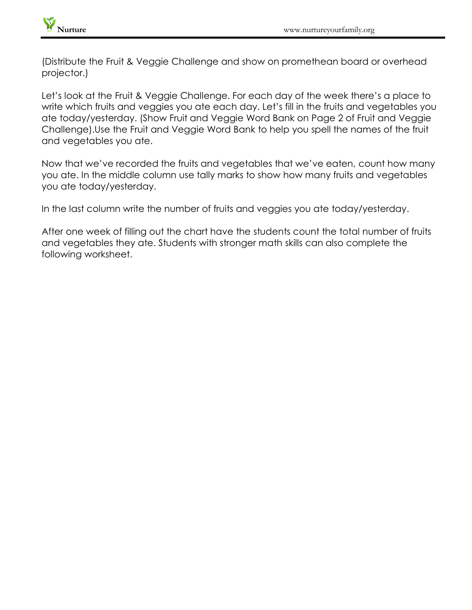

(Distribute the Fruit & Veggie Challenge and show on promethean board or overhead projector.)

Let's look at the Fruit & Veggie Challenge. For each day of the week there's a place to write which fruits and veggies you ate each day. Let's fill in the fruits and vegetables you ate today/yesterday. (Show Fruit and Veggie Word Bank on Page 2 of Fruit and Veggie Challenge).Use the Fruit and Veggie Word Bank to help you spell the names of the fruit and vegetables you ate.

Now that we've recorded the fruits and vegetables that we've eaten, count how many you ate. In the middle column use tally marks to show how many fruits and vegetables you ate today/yesterday.

In the last column write the number of fruits and veggies you ate today/yesterday.

After one week of filling out the chart have the students count the total number of fruits and vegetables they ate. Students with stronger math skills can also complete the following worksheet.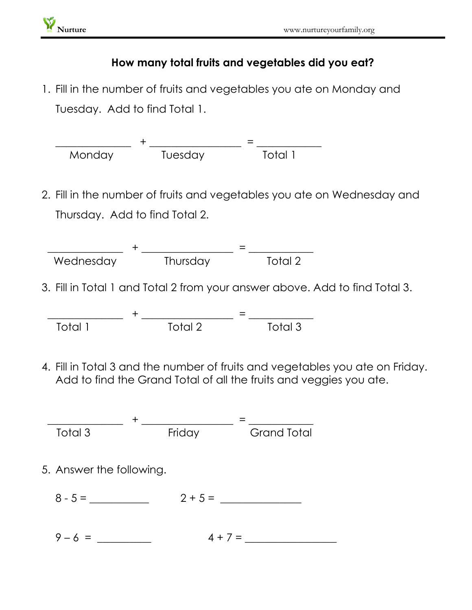# **How many total fruits and vegetables did you eat?**

1. Fill in the number of fruits and vegetables you ate on Monday and Tuesday. Add to find Total 1.



| Total, | Total 2 | Total 3 |
|--------|---------|---------|

4. Fill in Total 3 and the number of fruits and vegetables you ate on Friday. Add to find the Grand Total of all the fruits and veggies you ate.